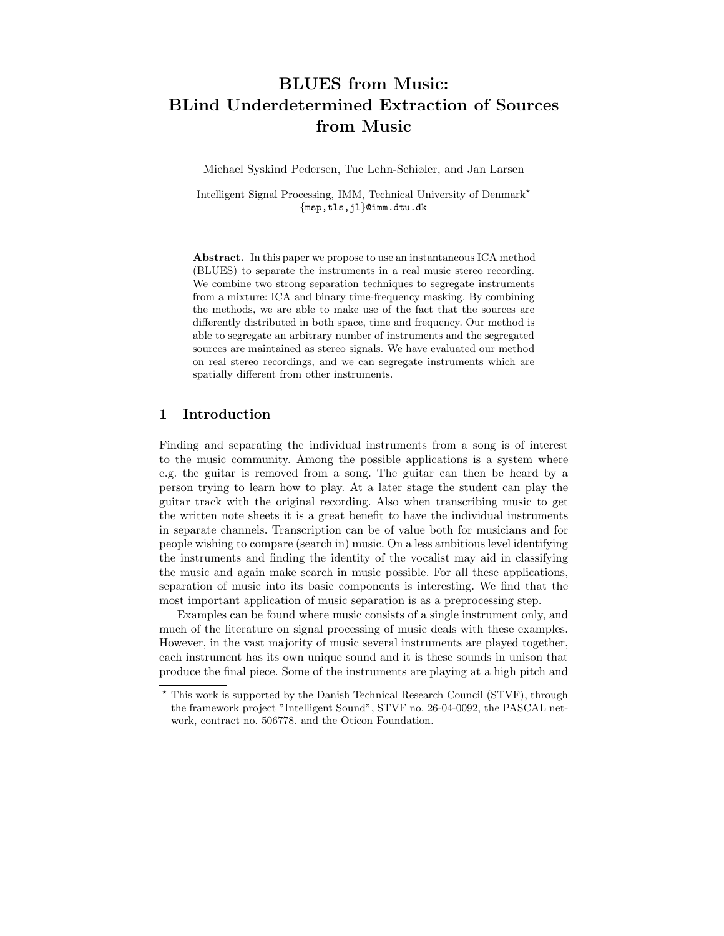# BLUES from Music: BLind Underdetermined Extraction of Sources from Music

Michael Syskind Pedersen, Tue Lehn-Schiøler, and Jan Larsen

Intelligent Signal Processing, IMM, Technical University of Denmark<sup>\*</sup> {msp,tls,jl}@imm.dtu.dk

Abstract. In this paper we propose to use an instantaneous ICA method (BLUES) to separate the instruments in a real music stereo recording. We combine two strong separation techniques to segregate instruments from a mixture: ICA and binary time-frequency masking. By combining the methods, we are able to make use of the fact that the sources are differently distributed in both space, time and frequency. Our method is able to segregate an arbitrary number of instruments and the segregated sources are maintained as stereo signals. We have evaluated our method on real stereo recordings, and we can segregate instruments which are spatially different from other instruments.

### 1 Introduction

Finding and separating the individual instruments from a song is of interest to the music community. Among the possible applications is a system where e.g. the guitar is removed from a song. The guitar can then be heard by a person trying to learn how to play. At a later stage the student can play the guitar track with the original recording. Also when transcribing music to get the written note sheets it is a great benefit to have the individual instruments in separate channels. Transcription can be of value both for musicians and for people wishing to compare (search in) music. On a less ambitious level identifying the instruments and finding the identity of the vocalist may aid in classifying the music and again make search in music possible. For all these applications, separation of music into its basic components is interesting. We find that the most important application of music separation is as a preprocessing step.

Examples can be found where music consists of a single instrument only, and much of the literature on signal processing of music deals with these examples. However, in the vast majority of music several instruments are played together, each instrument has its own unique sound and it is these sounds in unison that produce the final piece. Some of the instruments are playing at a high pitch and

<sup>⋆</sup> This work is supported by the Danish Technical Research Council (STVF), through the framework project "Intelligent Sound", STVF no. 26-04-0092, the PASCAL network, contract no. 506778. and the Oticon Foundation.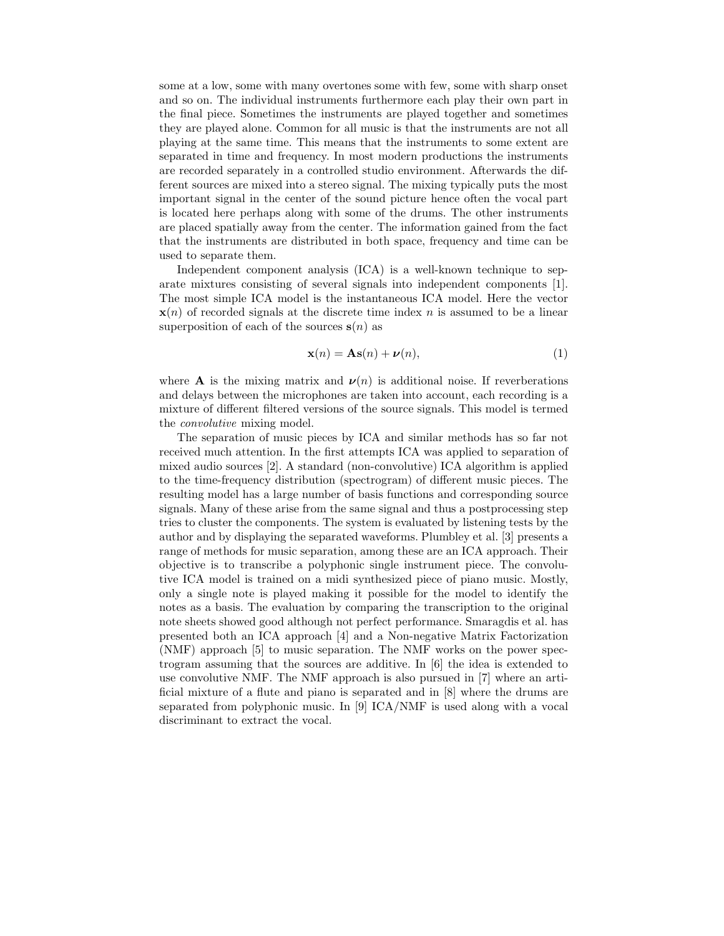some at a low, some with many overtones some with few, some with sharp onset and so on. The individual instruments furthermore each play their own part in the final piece. Sometimes the instruments are played together and sometimes they are played alone. Common for all music is that the instruments are not all playing at the same time. This means that the instruments to some extent are separated in time and frequency. In most modern productions the instruments are recorded separately in a controlled studio environment. Afterwards the different sources are mixed into a stereo signal. The mixing typically puts the most important signal in the center of the sound picture hence often the vocal part is located here perhaps along with some of the drums. The other instruments are placed spatially away from the center. The information gained from the fact that the instruments are distributed in both space, frequency and time can be used to separate them.

Independent component analysis (ICA) is a well-known technique to separate mixtures consisting of several signals into independent components [1]. The most simple ICA model is the instantaneous ICA model. Here the vector  $\mathbf{x}(n)$  of recorded signals at the discrete time index n is assumed to be a linear superposition of each of the sources  $s(n)$  as

$$
\mathbf{x}(n) = \mathbf{A}\mathbf{s}(n) + \boldsymbol{\nu}(n),\tag{1}
$$

where **A** is the mixing matrix and  $\nu(n)$  is additional noise. If reverberations and delays between the microphones are taken into account, each recording is a mixture of different filtered versions of the source signals. This model is termed the convolutive mixing model.

The separation of music pieces by ICA and similar methods has so far not received much attention. In the first attempts ICA was applied to separation of mixed audio sources [2]. A standard (non-convolutive) ICA algorithm is applied to the time-frequency distribution (spectrogram) of different music pieces. The resulting model has a large number of basis functions and corresponding source signals. Many of these arise from the same signal and thus a postprocessing step tries to cluster the components. The system is evaluated by listening tests by the author and by displaying the separated waveforms. Plumbley et al. [3] presents a range of methods for music separation, among these are an ICA approach. Their objective is to transcribe a polyphonic single instrument piece. The convolutive ICA model is trained on a midi synthesized piece of piano music. Mostly, only a single note is played making it possible for the model to identify the notes as a basis. The evaluation by comparing the transcription to the original note sheets showed good although not perfect performance. Smaragdis et al. has presented both an ICA approach [4] and a Non-negative Matrix Factorization (NMF) approach [5] to music separation. The NMF works on the power spectrogram assuming that the sources are additive. In [6] the idea is extended to use convolutive NMF. The NMF approach is also pursued in [7] where an artificial mixture of a flute and piano is separated and in [8] where the drums are separated from polyphonic music. In [9] ICA/NMF is used along with a vocal discriminant to extract the vocal.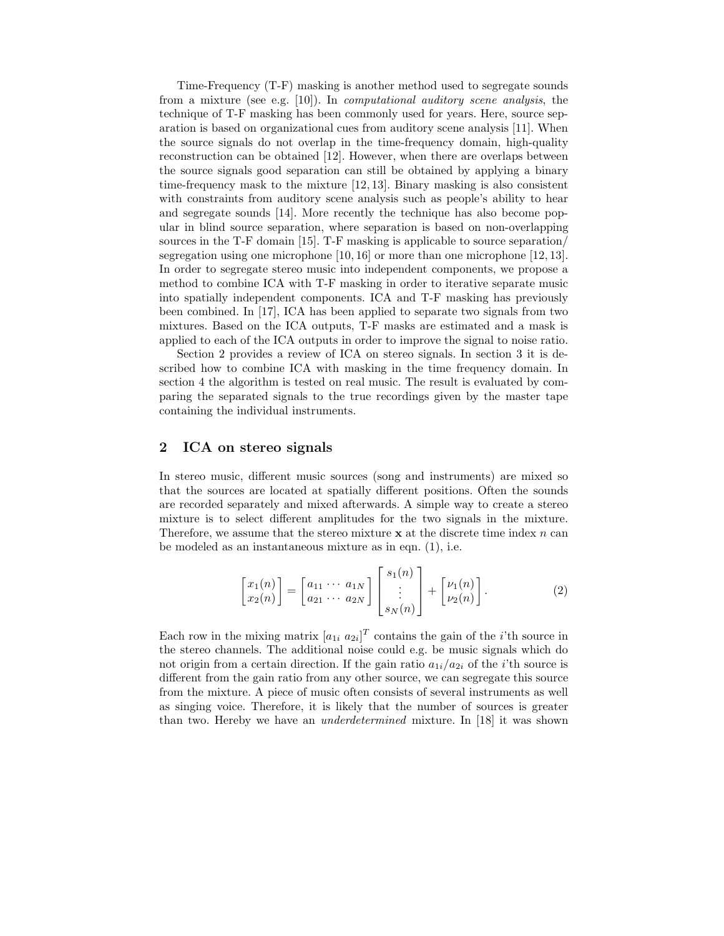Time-Frequency (T-F) masking is another method used to segregate sounds from a mixture (see e.g.  $[10]$ ). In *computational auditory scene analysis*, the technique of T-F masking has been commonly used for years. Here, source separation is based on organizational cues from auditory scene analysis [11]. When the source signals do not overlap in the time-frequency domain, high-quality reconstruction can be obtained [12]. However, when there are overlaps between the source signals good separation can still be obtained by applying a binary time-frequency mask to the mixture [12, 13]. Binary masking is also consistent with constraints from auditory scene analysis such as people's ability to hear and segregate sounds [14]. More recently the technique has also become popular in blind source separation, where separation is based on non-overlapping sources in the T-F domain [15]. T-F masking is applicable to source separation/ segregation using one microphone [10, 16] or more than one microphone [12, 13]. In order to segregate stereo music into independent components, we propose a method to combine ICA with T-F masking in order to iterative separate music into spatially independent components. ICA and T-F masking has previously been combined. In [17], ICA has been applied to separate two signals from two mixtures. Based on the ICA outputs, T-F masks are estimated and a mask is applied to each of the ICA outputs in order to improve the signal to noise ratio.

Section 2 provides a review of ICA on stereo signals. In section 3 it is described how to combine ICA with masking in the time frequency domain. In section 4 the algorithm is tested on real music. The result is evaluated by comparing the separated signals to the true recordings given by the master tape containing the individual instruments.

### 2 ICA on stereo signals

In stereo music, different music sources (song and instruments) are mixed so that the sources are located at spatially different positions. Often the sounds are recorded separately and mixed afterwards. A simple way to create a stereo mixture is to select different amplitudes for the two signals in the mixture. Therefore, we assume that the stereo mixture  $x$  at the discrete time index  $n$  can be modeled as an instantaneous mixture as in eqn. (1), i.e.

$$
\begin{bmatrix} x_1(n) \\ x_2(n) \end{bmatrix} = \begin{bmatrix} a_{11} \cdots a_{1N} \\ a_{21} \cdots a_{2N} \end{bmatrix} \begin{bmatrix} s_1(n) \\ \vdots \\ s_N(n) \end{bmatrix} + \begin{bmatrix} \nu_1(n) \\ \nu_2(n) \end{bmatrix}.
$$
 (2)

Each row in the mixing matrix  $[a_{1i} \ a_{2i}]^T$  contains the gain of the *i*'th source in the stereo channels. The additional noise could e.g. be music signals which do not origin from a certain direction. If the gain ratio  $a_{1i}/a_{2i}$  of the *i*'th source is different from the gain ratio from any other source, we can segregate this source from the mixture. A piece of music often consists of several instruments as well as singing voice. Therefore, it is likely that the number of sources is greater than two. Hereby we have an underdetermined mixture. In [18] it was shown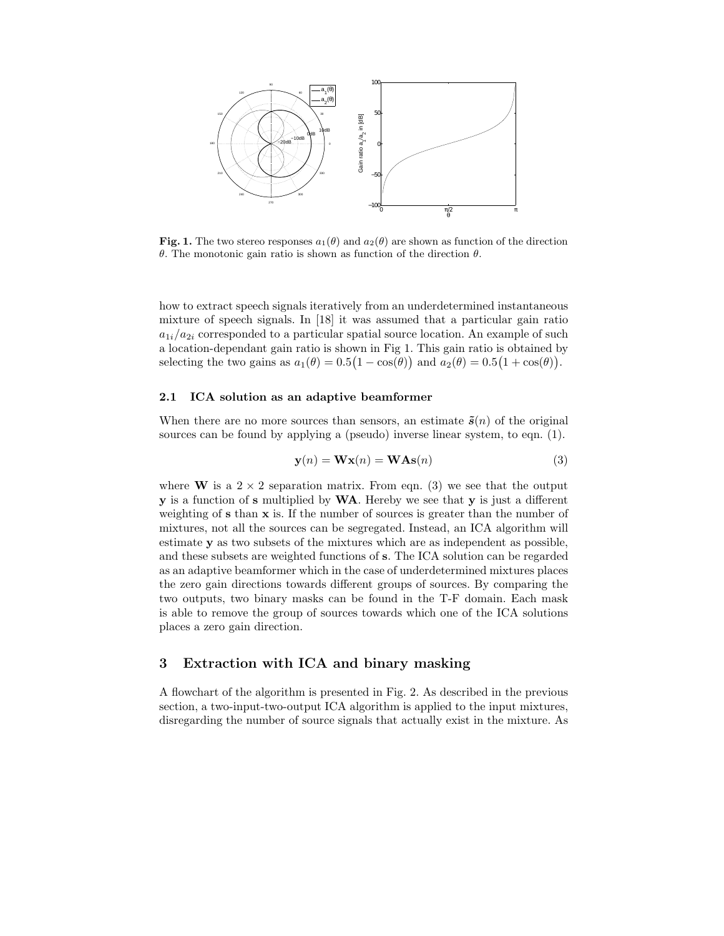

Fig. 1. The two stereo responses  $a_1(\theta)$  and  $a_2(\theta)$  are shown as function of the direction θ. The monotonic gain ratio is shown as function of the direction θ.

how to extract speech signals iteratively from an underdetermined instantaneous mixture of speech signals. In [18] it was assumed that a particular gain ratio  $a_{1i}/a_{2i}$  corresponded to a particular spatial source location. An example of such a location-dependant gain ratio is shown in Fig 1. This gain ratio is obtained by selecting the two gains as  $a_1(\theta) = 0.5(1 - \cos(\theta))$  and  $a_2(\theta) = 0.5(1 + \cos(\theta)).$ 

#### 2.1 ICA solution as an adaptive beamformer

When there are no more sources than sensors, an estimate  $\tilde{s}(n)$  of the original sources can be found by applying a (pseudo) inverse linear system, to eqn. (1).

$$
\mathbf{y}(n) = \mathbf{W}\mathbf{x}(n) = \mathbf{W}\mathbf{A}\mathbf{s}(n) \tag{3}
$$

where **W** is a  $2 \times 2$  separation matrix. From eqn. (3) we see that the output y is a function of s multiplied by WA. Hereby we see that y is just a different weighting of  $s$  than  $x$  is. If the number of sources is greater than the number of mixtures, not all the sources can be segregated. Instead, an ICA algorithm will estimate y as two subsets of the mixtures which are as independent as possible, and these subsets are weighted functions of s. The ICA solution can be regarded as an adaptive beamformer which in the case of underdetermined mixtures places the zero gain directions towards different groups of sources. By comparing the two outputs, two binary masks can be found in the T-F domain. Each mask is able to remove the group of sources towards which one of the ICA solutions places a zero gain direction.

#### 3 Extraction with ICA and binary masking

A flowchart of the algorithm is presented in Fig. 2. As described in the previous section, a two-input-two-output ICA algorithm is applied to the input mixtures, disregarding the number of source signals that actually exist in the mixture. As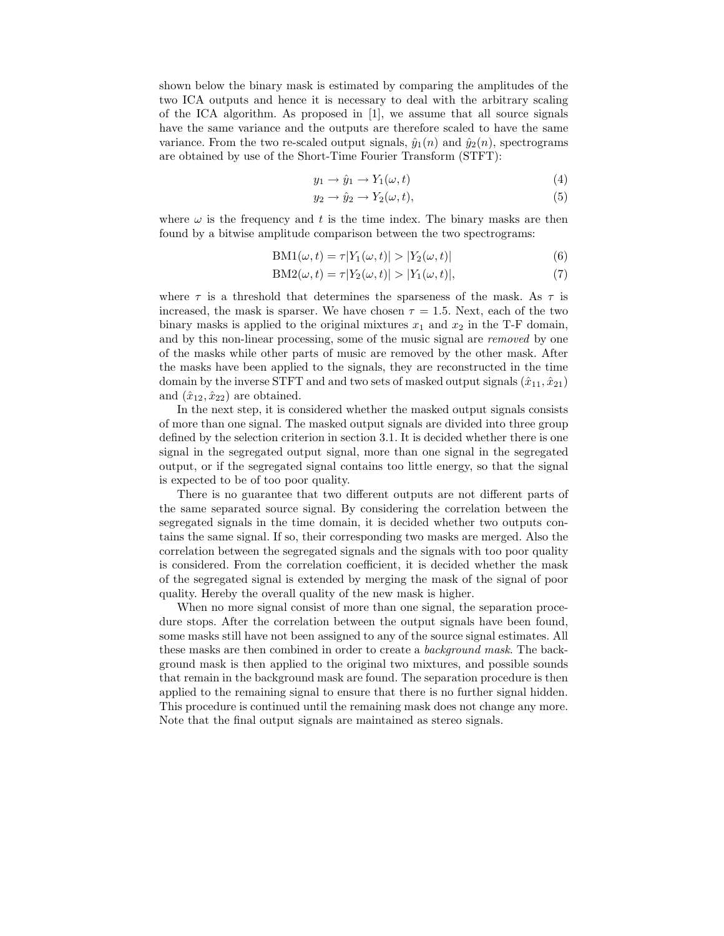shown below the binary mask is estimated by comparing the amplitudes of the two ICA outputs and hence it is necessary to deal with the arbitrary scaling of the ICA algorithm. As proposed in [1], we assume that all source signals have the same variance and the outputs are therefore scaled to have the same variance. From the two re-scaled output signals,  $\hat{y}_1(n)$  and  $\hat{y}_2(n)$ , spectrograms are obtained by use of the Short-Time Fourier Transform (STFT):

$$
y_1 \to \hat{y}_1 \to Y_1(\omega, t) \tag{4}
$$

$$
y_2 \to \hat{y}_2 \to Y_2(\omega, t), \tag{5}
$$

where  $\omega$  is the frequency and t is the time index. The binary masks are then found by a bitwise amplitude comparison between the two spectrograms:

$$
BM1(\omega, t) = \tau |Y_1(\omega, t)| > |Y_2(\omega, t)| \tag{6}
$$

$$
BM2(\omega, t) = \tau |Y_2(\omega, t)| > |Y_1(\omega, t)|,
$$
\n<sup>(7)</sup>

where  $\tau$  is a threshold that determines the sparseness of the mask. As  $\tau$  is increased, the mask is sparser. We have chosen  $\tau = 1.5$ . Next, each of the two binary masks is applied to the original mixtures  $x_1$  and  $x_2$  in the T-F domain, and by this non-linear processing, some of the music signal are *removed* by one of the masks while other parts of music are removed by the other mask. After the masks have been applied to the signals, they are reconstructed in the time domain by the inverse STFT and and two sets of masked output signals  $(\hat{x}_{11}, \hat{x}_{21})$ and  $(\hat{x}_{12}, \hat{x}_{22})$  are obtained.

In the next step, it is considered whether the masked output signals consists of more than one signal. The masked output signals are divided into three group defined by the selection criterion in section 3.1. It is decided whether there is one signal in the segregated output signal, more than one signal in the segregated output, or if the segregated signal contains too little energy, so that the signal is expected to be of too poor quality.

There is no guarantee that two different outputs are not different parts of the same separated source signal. By considering the correlation between the segregated signals in the time domain, it is decided whether two outputs contains the same signal. If so, their corresponding two masks are merged. Also the correlation between the segregated signals and the signals with too poor quality is considered. From the correlation coefficient, it is decided whether the mask of the segregated signal is extended by merging the mask of the signal of poor quality. Hereby the overall quality of the new mask is higher.

When no more signal consist of more than one signal, the separation procedure stops. After the correlation between the output signals have been found, some masks still have not been assigned to any of the source signal estimates. All these masks are then combined in order to create a background mask. The background mask is then applied to the original two mixtures, and possible sounds that remain in the background mask are found. The separation procedure is then applied to the remaining signal to ensure that there is no further signal hidden. This procedure is continued until the remaining mask does not change any more. Note that the final output signals are maintained as stereo signals.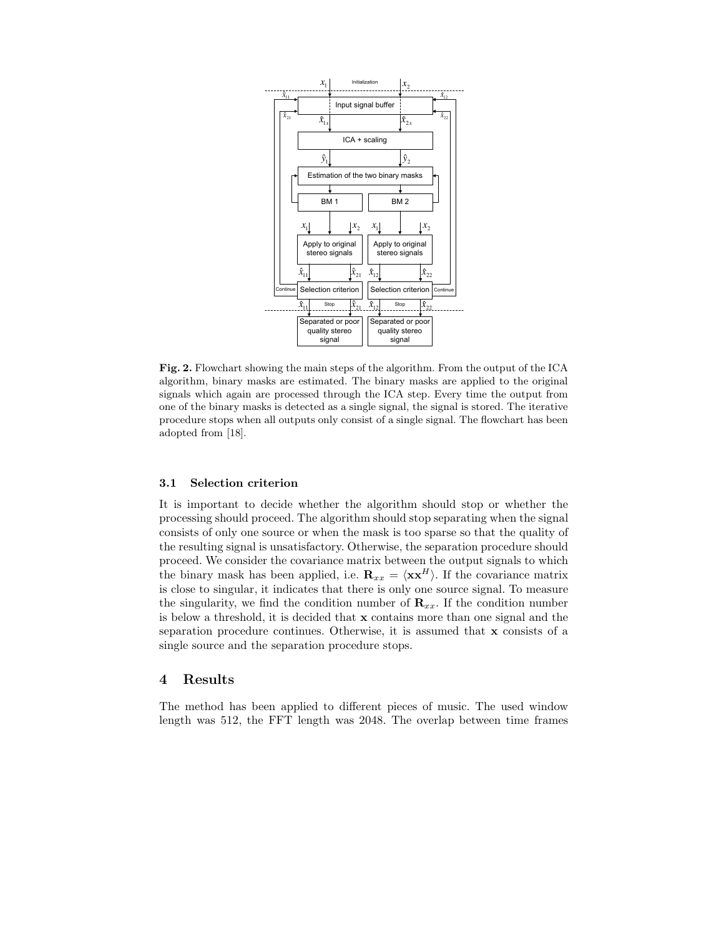

Fig. 2. Flowchart showing the main steps of the algorithm. From the output of the ICA algorithm, binary masks are estimated. The binary masks are applied to the original signals which again are processed through the ICA step. Every time the output from one of the binary masks is detected as a single signal, the signal is stored. The iterative procedure stops when all outputs only consist of a single signal. The flowchart has been adopted from [18].

#### 3.1 Selection criterion

It is important to decide whether the algorithm should stop or whether the processing should proceed. The algorithm should stop separating when the signal consists of only one source or when the mask is too sparse so that the quality of the resulting signal is unsatisfactory. Otherwise, the separation procedure should proceed. We consider the covariance matrix between the output signals to which the binary mask has been applied, i.e.  $\mathbf{R}_{xx} = \langle \mathbf{x} \mathbf{x}^H \rangle$ . If the covariance matrix is close to singular, it indicates that there is only one source signal. To measure the singularity, we find the condition number of  $\mathbf{R}_{xx}$ . If the condition number is below a threshold, it is decided that x contains more than one signal and the separation procedure continues. Otherwise, it is assumed that x consists of a single source and the separation procedure stops.

#### 4 Results

The method has been applied to different pieces of music. The used window length was 512, the FFT length was 2048. The overlap between time frames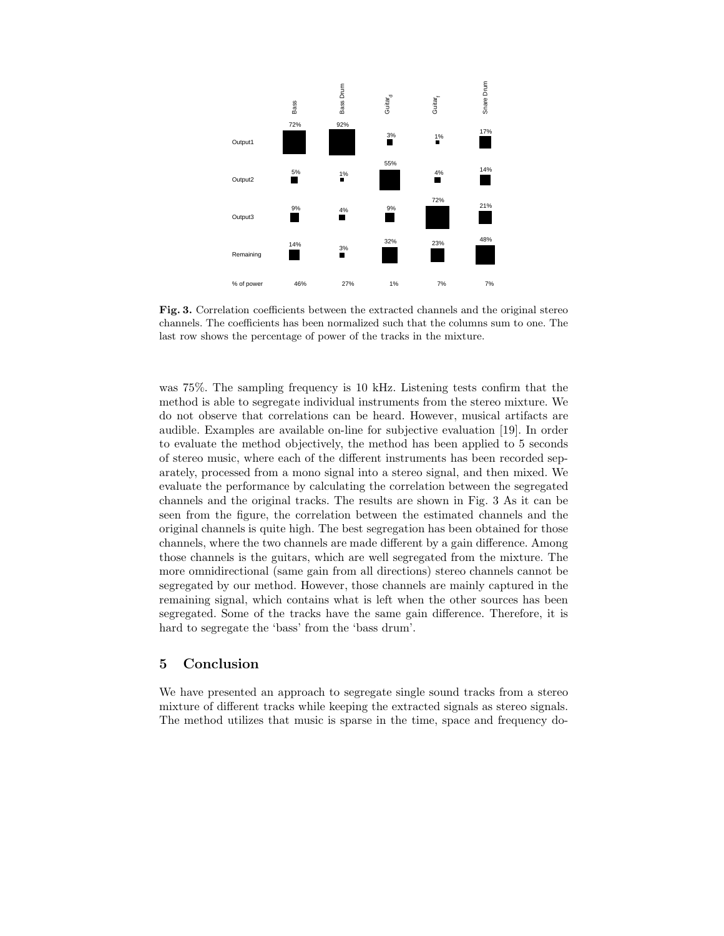

Fig. 3. Correlation coefficients between the extracted channels and the original stereo channels. The coefficients has been normalized such that the columns sum to one. The last row shows the percentage of power of the tracks in the mixture.

was 75%. The sampling frequency is 10 kHz. Listening tests confirm that the method is able to segregate individual instruments from the stereo mixture. We do not observe that correlations can be heard. However, musical artifacts are audible. Examples are available on-line for subjective evaluation [19]. In order to evaluate the method objectively, the method has been applied to 5 seconds of stereo music, where each of the different instruments has been recorded separately, processed from a mono signal into a stereo signal, and then mixed. We evaluate the performance by calculating the correlation between the segregated channels and the original tracks. The results are shown in Fig. 3 As it can be seen from the figure, the correlation between the estimated channels and the original channels is quite high. The best segregation has been obtained for those channels, where the two channels are made different by a gain difference. Among those channels is the guitars, which are well segregated from the mixture. The more omnidirectional (same gain from all directions) stereo channels cannot be segregated by our method. However, those channels are mainly captured in the remaining signal, which contains what is left when the other sources has been segregated. Some of the tracks have the same gain difference. Therefore, it is hard to segregate the 'bass' from the 'bass drum'.

## 5 Conclusion

We have presented an approach to segregate single sound tracks from a stereo mixture of different tracks while keeping the extracted signals as stereo signals. The method utilizes that music is sparse in the time, space and frequency do